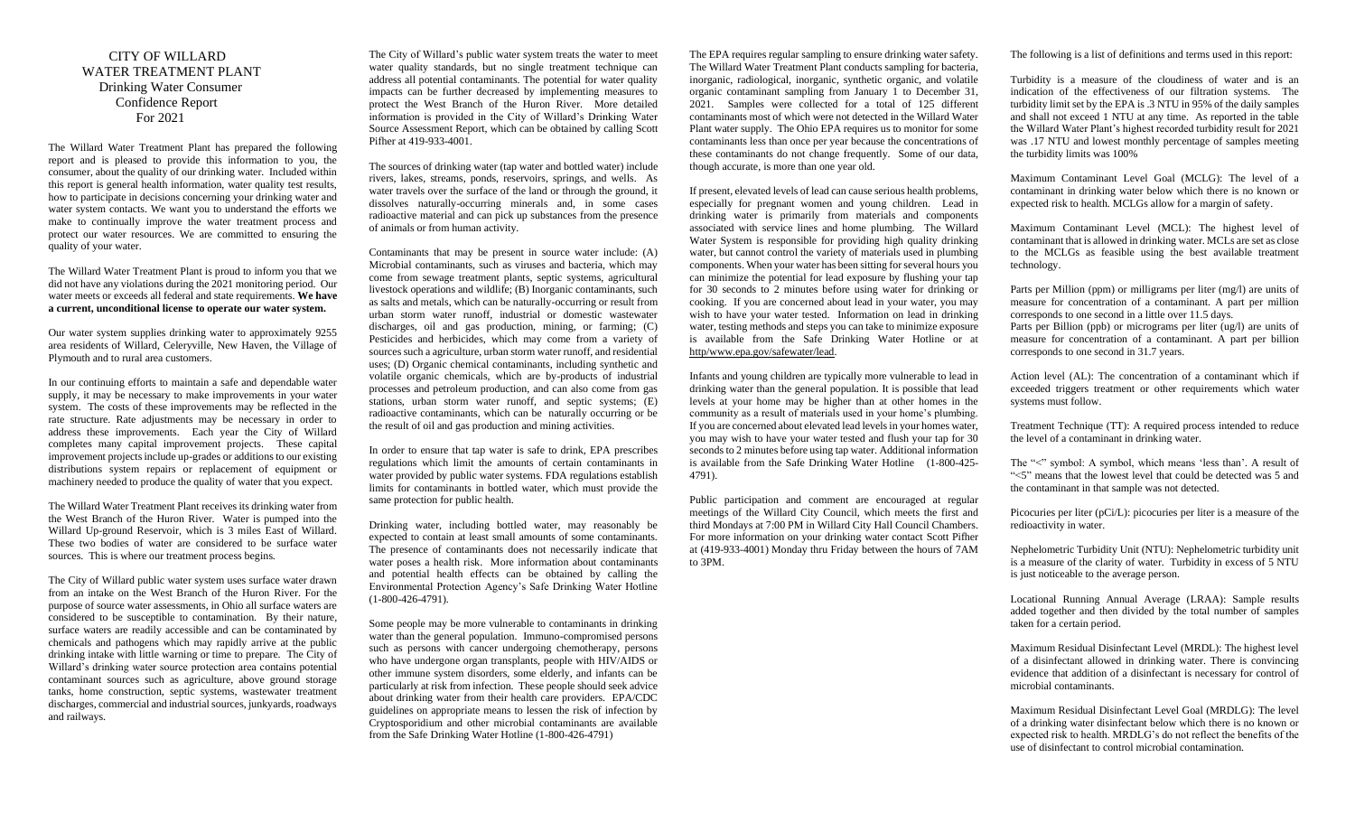## CITY OF WILLARD WATER TREATMENT PLANT Drinking Water Consumer Confidence Report For 2021

The Willard Water Treatment Plant has prepared the following report and is pleased to provide this information to you, the consumer, about the quality of our drinking water. Included within this report is general health information, water quality test results, how to participate in decisions concerning your drinking water and water system contacts. We want you to understand the efforts we make to continually improve the water treatment process and protect our water resources. We are committed to ensuring the quality of your water.

The Willard Water Treatment Plant is proud to inform you that we did not have any violations during the 2021 monitoring period. Our water meets or exceeds all federal and state requirements. **We have a current, unconditional license to operate our water system.**

Our water system supplies drinking water to approximately 9255 area residents of Willard, Celeryville, New Haven, the Village of Plymouth and to rural area customers.

In our continuing efforts to maintain a safe and dependable water supply, it may be necessary to make improvements in your water system. The costs of these improvements may be reflected in the rate structure. Rate adjustments may be necessary in order to address these improvements. Each year the City of Willard completes many capital improvement projects. These capital improvement projects include up-grades or additions to our existing distributions system repairs or replacement of equipment or machinery needed to produce the quality of water that you expect.

The Willard Water Treatment Plant receives its drinking water from the West Branch of the Huron River. Water is pumped into the Willard Up-ground Reservoir, which is 3 miles East of Willard. These two bodies of water are considered to be surface water sources. This is where our treatment process begins.

The City of Willard public water system uses surface water drawn from an intake on the West Branch of the Huron River. For the purpose of source water assessments, in Ohio all surface waters are considered to be susceptible to contamination. By their nature, surface waters are readily accessible and can be contaminated by chemicals and pathogens which may rapidly arrive at the public drinking intake with little warning or time to prepare. The City of Willard's drinking water source protection area contains potential contaminant sources such as agriculture, above ground storage tanks, home construction, septic systems, wastewater treatment discharges, commercial and industrial sources, junkyards, roadways and railways.

The City of Willard's public water system treats the water to meet water quality standards, but no single treatment technique can address all potential contaminants. The potential for water quality impacts can be further decreased by implementing measures to protect the West Branch of the Huron River. More detailed information is provided in the City of Willard's Drinking Water Source Assessment Report, which can be obtained by calling Scott Pifher at 419-933-4001.

The sources of drinking water (tap water and bottled water) include rivers, lakes, streams, ponds, reservoirs, springs, and wells. As water travels over the surface of the land or through the ground, it dissolves naturally-occurring minerals and, in some cases radioactive material and can pick up substances from the presence of animals or from human activity.

Contaminants that may be present in source water include: (A) Microbial contaminants, such as viruses and bacteria, which may come from sewage treatment plants, septic systems, agricultural livestock operations and wildlife; (B) Inorganic contaminants, such as salts and metals, which can be naturally-occurring or result from urban storm water runoff, industrial or domestic wastewater discharges, oil and gas production, mining, or farming; (C) Pesticides and herbicides, which may come from a variety of sources such a agriculture, urban storm water runoff, and residential uses; (D) Organic chemical contaminants, including synthetic and volatile organic chemicals, which are by-products of industrial processes and petroleum production, and can also come from gas stations, urban storm water runoff, and septic systems; (E) radioactive contaminants, which can be naturally occurring or be the result of oil and gas production and mining activities.

In order to ensure that tap water is safe to drink, EPA prescribes regulations which limit the amounts of certain contaminants in water provided by public water systems. FDA regulations establish limits for contaminants in bottled water, which must provide the same protection for public health.

Drinking water, including bottled water, may reasonably be expected to contain at least small amounts of some contaminants. The presence of contaminants does not necessarily indicate that water poses a health risk. More information about contaminants and potential health effects can be obtained by calling the Environmental Protection Agency's Safe Drinking Water Hotline (1-800-426-4791).

Some people may be more vulnerable to contaminants in drinking water than the general population. Immuno-compromised persons such as persons with cancer undergoing chemotherapy, persons who have undergone organ transplants, people with HIV/AIDS or other immune system disorders, some elderly, and infants can be particularly at risk from infection. These people should seek advice about drinking water from their health care providers. EPA/CDC guidelines on appropriate means to lessen the risk of infection by Cryptosporidium and other microbial contaminants are available from the Safe Drinking Water Hotline (1-800-426-4791)

The EPA requires regular sampling to ensure drinking water safety. The Willard Water Treatment Plant conducts sampling for bacteria, inorganic, radiological, inorganic, synthetic organic, and volatile organic contaminant sampling from January 1 to December 31, 2021. Samples were collected for a total of 125 different contaminants most of which were not detected in the Willard Water Plant water supply. The Ohio EPA requires us to monitor for some contaminants less than once per year because the concentrations of these contaminants do not change frequently. Some of our data, though accurate, is more than one year old.

If present, elevated levels of lead can cause serious health problems, especially for pregnant women and young children. Lead in drinking water is primarily from materials and components associated with service lines and home plumbing. The Willard Water System is responsible for providing high quality drinking water, but cannot control the variety of materials used in plumbing components. When your water has been sitting for several hours you can minimize the potential for lead exposure by flushing your tap for 30 seconds to 2 minutes before using water for drinking or cooking. If you are concerned about lead in your water, you may wish to have your water tested. Information on lead in drinking water, testing methods and steps you can take to minimize exposure is available from the Safe Drinking Water Hotline or at http/www.epa.gov/safewater/lead.

Infants and young children are typically more vulnerable to lead in drinking water than the general population. It is possible that lead levels at your home may be higher than at other homes in the community as a result of materials used in your home's plumbing. If you are concerned about elevated lead levels in your homes water, you may wish to have your water tested and flush your tap for 30 seconds to 2 minutes before using tap water. Additional information is available from the Safe Drinking Water Hotline (1-800-425- 4791).

Public participation and comment are encouraged at regular meetings of the Willard City Council, which meets the first and third Mondays at 7:00 PM in Willard City Hall Council Chambers. For more information on your drinking water contact Scott Pifher at (419-933-4001) Monday thru Friday between the hours of 7AM to 3PM.

The following is a list of definitions and terms used in this report:

Turbidity is a measure of the cloudiness of water and is an indication of the effectiveness of our filtration systems. The turbidity limit set by the EPA is .3 NTU in 95% of the daily samples and shall not exceed 1 NTU at any time. As reported in the table the Willard Water Plant's highest recorded turbidity result for 2021 was .17 NTU and lowest monthly percentage of samples meeting the turbidity limits was 100%

Maximum Contaminant Level Goal (MCLG): The level of a contaminant in drinking water below which there is no known or expected risk to health. MCLGs allow for a margin of safety.

Maximum Contaminant Level (MCL): The highest level of contaminant that is allowed in drinking water. MCLs are set as close to the MCLGs as feasible using the best available treatment technology.

Parts per Million (ppm) or milligrams per liter (mg/l) are units of measure for concentration of a contaminant. A part per million corresponds to one second in a little over 11.5 days. Parts per Billion (ppb) or micrograms per liter (ug/l) are units of measure for concentration of a contaminant. A part per billion corresponds to one second in 31.7 years.

Action level (AL): The concentration of a contaminant which if exceeded triggers treatment or other requirements which water systems must follow.

Treatment Technique (TT): A required process intended to reduce the level of a contaminant in drinking water.

The "<" symbol: A symbol, which means 'less than'. A result of "<5" means that the lowest level that could be detected was 5 and the contaminant in that sample was not detected.

Picocuries per liter (pCi/L): picocuries per liter is a measure of the redioactivity in water.

Nephelometric Turbidity Unit (NTU): Nephelometric turbidity unit is a measure of the clarity of water. Turbidity in excess of 5 NTU is just noticeable to the average person.

Locational Running Annual Average (LRAA): Sample results added together and then divided by the total number of samples taken for a certain period.

Maximum Residual Disinfectant Level (MRDL): The highest level of a disinfectant allowed in drinking water. There is convincing evidence that addition of a disinfectant is necessary for control of microbial contaminants.

Maximum Residual Disinfectant Level Goal (MRDLG): The level of a drinking water disinfectant below which there is no known or expected risk to health. MRDLG's do not reflect the benefits of the use of disinfectant to control microbial contamination.